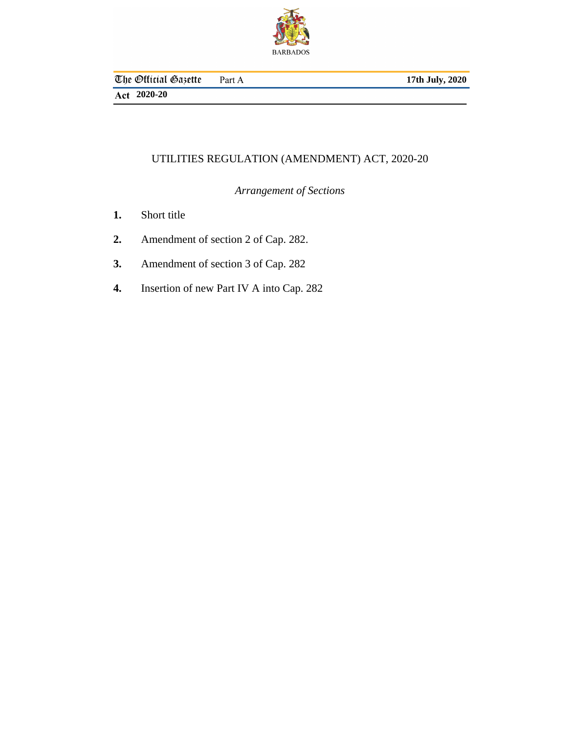

**17th July, 2020**

**2020-20**

# UTILITIES REGULATION (AMENDMENT) ACT, 2020-20

*Arrangement of Sections*

- [Short title](#page-2-0) **1.**
- [Amendment of section 2 of Cap. 282.](#page-2-0) **2.**
- [Amendment of section 3 of Cap. 282](#page-2-0) **3.**
- [Insertion of new Part IV A into Cap. 282](#page-3-0) **4.**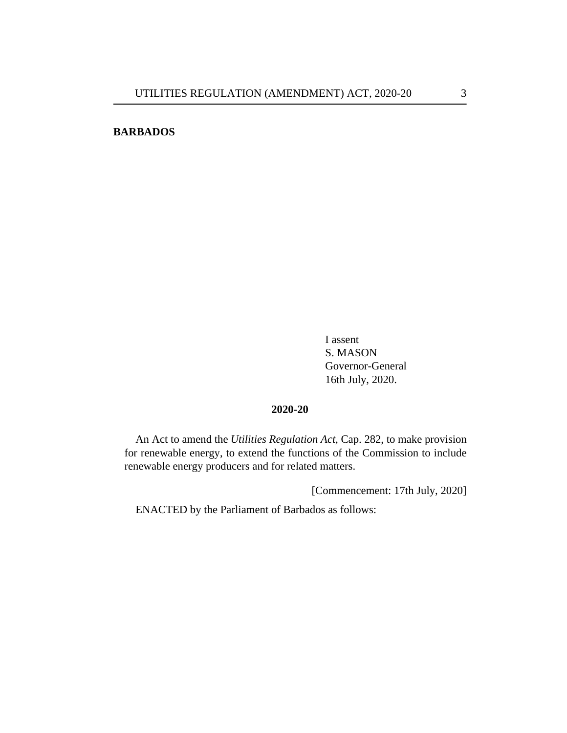# **BARBADOS**

I assent S. MASON Governor-General 16th July, 2020.

## **2020-20**

An Act to amend the *[Utilities Regulation Act](http://barbadosparliament-laws.com/en/showdoc/cs/282)*, Cap. 282, to make provision for renewable energy, to extend the functions of the Commission to include renewable energy producers and for related matters.

[Commencement: 17th July, 2020]

ENACTED by the Parliament of Barbados as follows: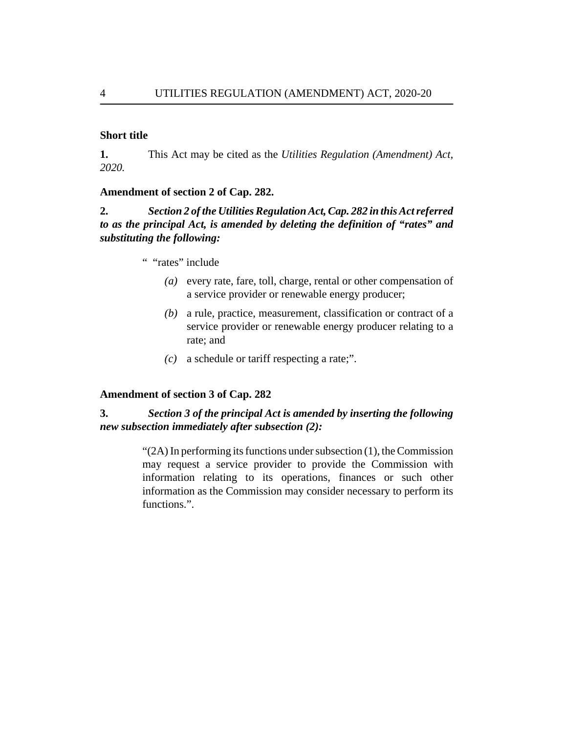### <span id="page-2-0"></span>**Short title**

This Act may be cited as the *Utilities Regulation (Amendment) Act, 2020.* **1.**

### **Amendment of section 2 of Cap. 282.**

*Section 2 of the [Utilities Regulation Act, Cap. 282](http://barbadosparliament-laws.com/en/showdoc/cs/282) in this Act referred to as the principal Act, is amended by deleting the definition of "rates" and substituting the following:* **2.**

- " "rates" include
	- every rate, fare, toll, charge, rental or other compensation of *(a)* a service provider or renewable energy producer;
	- a rule, practice, measurement, classification or contract of a *(b)* service provider or renewable energy producer relating to a rate; and
	- a schedule or tariff respecting a rate;". *(c)*

## **Amendment of section 3 of Cap. 282**

#### *Section 3 of the principal Act is amended by inserting the following new subsection immediately after subsection (2):* **3.**

 $\lq$ (2A) In performing its functions under subsection (1), the Commission may request a service provider to provide the Commission with information relating to its operations, finances or such other information as the Commission may consider necessary to perform its functions.".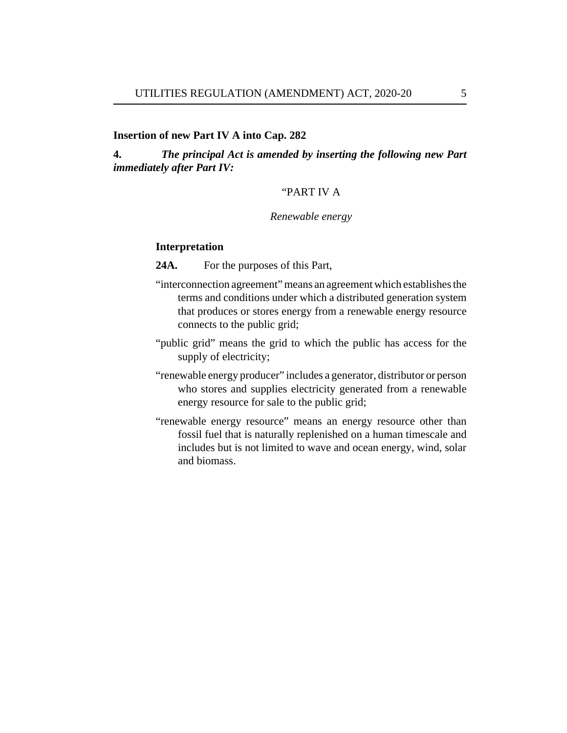### <span id="page-3-0"></span>**Insertion of new Part IV A into Cap. 282**

*The principal Act is amended by inserting the following new Part immediately after Part IV:* **4.**

### "PART IV A

### *Renewable energy*

### **Interpretation**

For the purposes of this Part, **24A.**

- "interconnection agreement" means an agreement which establishes the terms and conditions under which a distributed generation system that produces or stores energy from a renewable energy resource connects to the public grid;
- "public grid" means the grid to which the public has access for the supply of electricity;
- "renewable energy producer" includes a generator, distributor or person who stores and supplies electricity generated from a renewable energy resource for sale to the public grid;
- "renewable energy resource" means an energy resource other than fossil fuel that is naturally replenished on a human timescale and includes but is not limited to wave and ocean energy, wind, solar and biomass.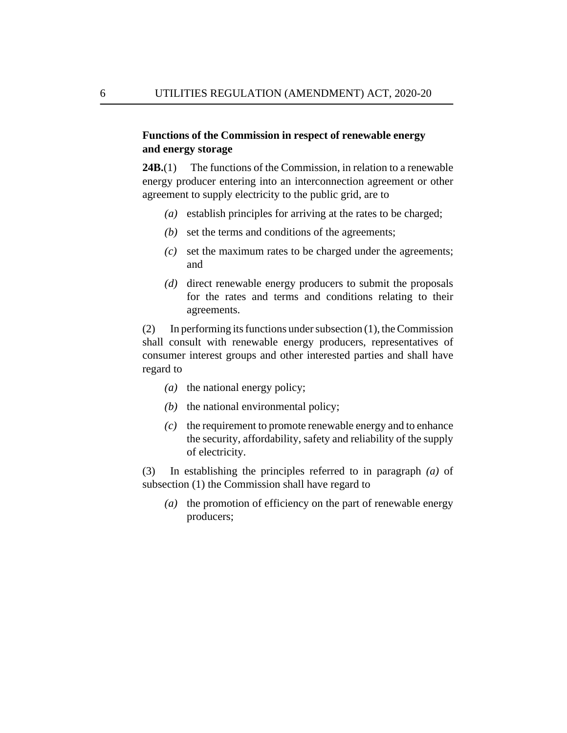# **Functions of the Commission in respect of renewable energy and energy storage**

The functions of the Commission, in relation to a renewable energy producer entering into an interconnection agreement or other agreement to supply electricity to the public grid, are to **24B.**(1)

- (a) establish principles for arriving at the rates to be charged;
- (b) set the terms and conditions of the agreements;
- set the maximum rates to be charged under the agreements; *(c)* and
- (d) direct renewable energy producers to submit the proposals for the rates and terms and conditions relating to their agreements.

In performing its functions under subsection (1), the Commission shall consult with renewable energy producers, representatives of consumer interest groups and other interested parties and shall have regard to (2)

- (a) the national energy policy;
- $(b)$  the national environmental policy;
- the requirement to promote renewable energy and to enhance *(c)* the security, affordability, safety and reliability of the supply of electricity.

In establishing the principles referred to in paragraph *(a)* of subsection (1) the Commission shall have regard to (3)

(a) the promotion of efficiency on the part of renewable energy producers;